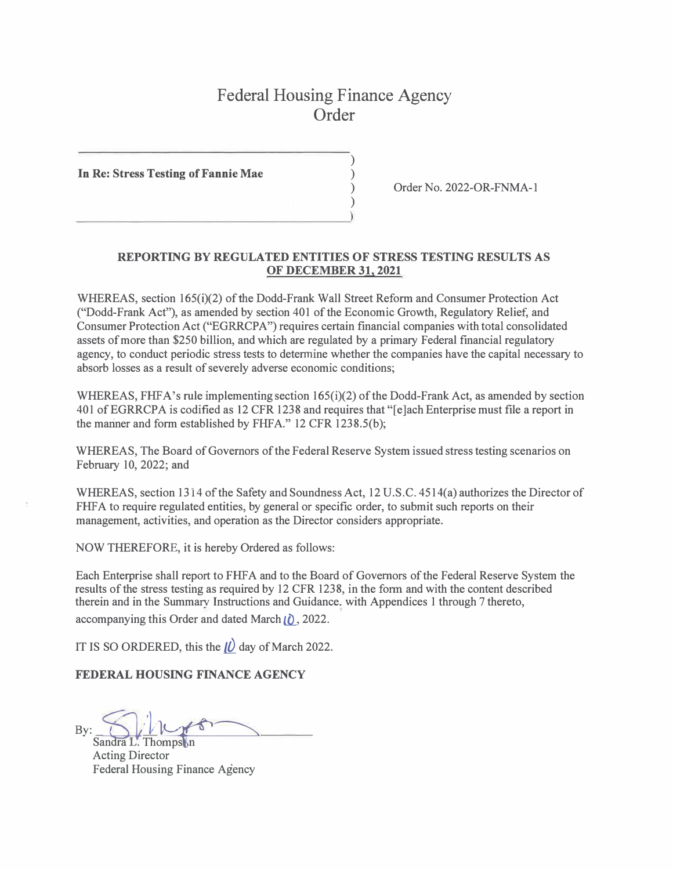## Federal Housing Finance Agency Order

)

)

**In Re: Stress Testing of Fannie Mae** )

 $\begin{pmatrix} 0 & 1 \\ 0 & 1 \end{pmatrix}$ 

) Order No. 2022-OR-FNMA-l

## **REPORTING BY REGULATED ENTITIES OF STRESS TESTING RESULTS AS OF DECEMBER 31, 2021**

WHEREAS, section 165(i)(2) of the Dodd-Frank Wall Street Reform and Consumer Protection Act ("Dodd-Frank Act"), as amended by section 401 of the Economic Growth, Regulatory Relief, and Consumer Protection Act ("EGRRCPA") requires certain financial companies with total consolidated assets of more than \$250 billion, and which are regulated by a primary Federal financial regulatory agency, to conduct periodic stress tests to determine whether the companies have the capital necessary to absorb losses as a result of severely adverse economic conditions;

WHEREAS, FHFA's rule implementing section 165(i)(2) of the Dodd-Frank Act, as amended by section 401 ofEGRRCPA is codified as 12 CFR 1238 and requires that "[e]ach Enterprise must file a report in the manner and form established by FHFA." 12 CFR 1238.5(b);

WHEREAS, The Board of Governors of the Federal Reserve System issued stress testing scenarios on February 10, 2022; and

WHEREAS, section 1314 of the Safety and Soundness Act, 12 U.S.C. 4514(a) authorizes the Director of FHFA to require regulated entities, by general or specific order, to submit such reports on their management, activities, and operation as the Director considers appropriate.

NOW THEREFORE, it is hereby Ordered as follows:

Each Enterprise shall report to FHF A and to the Board of Governors of the Federal Reserve System the results of the stress testing as required by 12 CFR 1238, in the form and with the content described therein and in the Summary Instructions and Guidance. with Appendices 1 through 7 thereto,

accompanying this Order and dated March **ii**), 2022.

IT IS SO ORDERED, this the *JQ* day of March 2022.

**FEDERAL HOUSING FINANCE AGENCY** 

 $By: \S1111000$ 

Thomps<sub>1</sub> n Acting Director Federal Housing Finance Agency